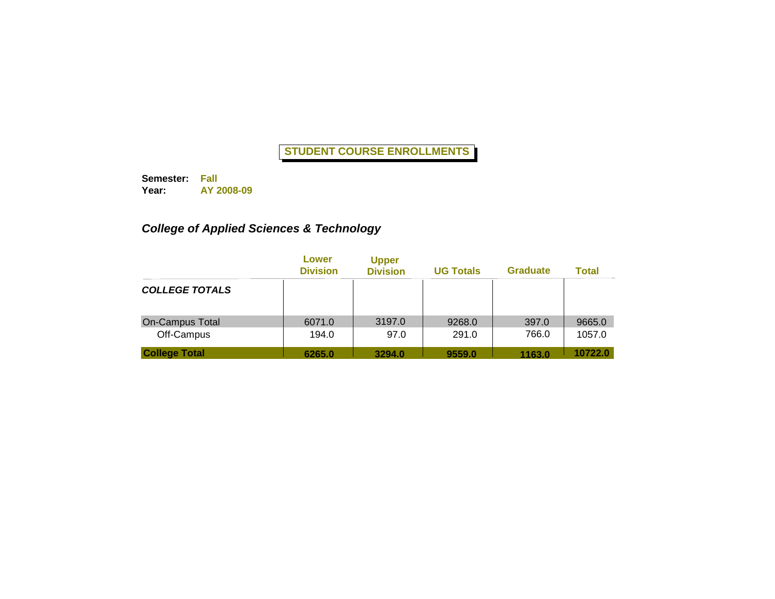**Semester: Fall Year: AY 2008-09**

# *College of Applied Sciences & Technology*

|                       | Lower<br><b>Division</b> | <b>Upper</b><br><b>Division</b> | <b>UG Totals</b> | <b>Graduate</b> | <b>Total</b> |
|-----------------------|--------------------------|---------------------------------|------------------|-----------------|--------------|
| <b>COLLEGE TOTALS</b> |                          |                                 |                  |                 |              |
| On-Campus Total       | 6071.0                   | 3197.0                          | 9268.0           | 397.0           | 9665.0       |
| Off-Campus            | 194.0                    | 97.0                            | 291.0            | 766.0           | 1057.0       |
| <b>College Total</b>  | 6265.0                   | 3294.0                          | 9559.0           | 1163.0          | 10722.0      |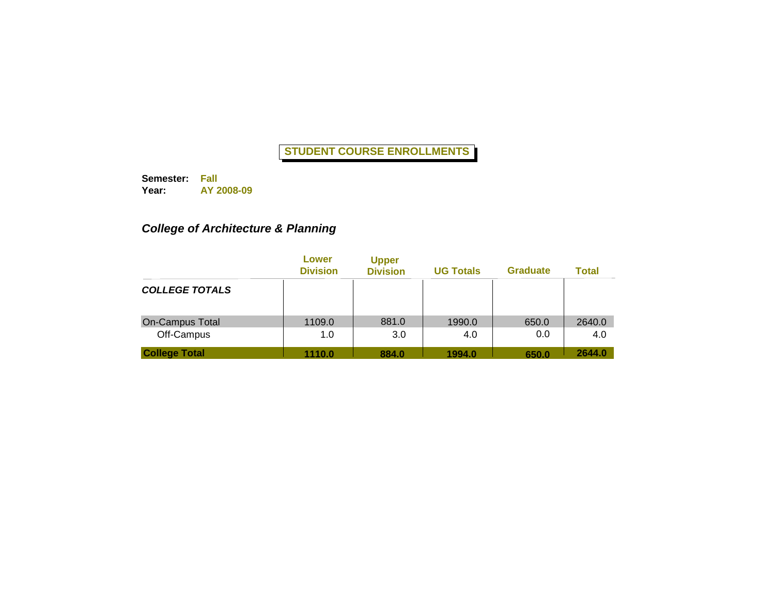**Semester: Fall Year: AY 2008-09**

# *College of Architecture & Planning*

|                        | Lower<br><b>Division</b> | <b>Upper</b><br><b>Division</b> | <b>UG Totals</b> | <b>Graduate</b> | <b>Total</b> |
|------------------------|--------------------------|---------------------------------|------------------|-----------------|--------------|
| <b>COLLEGE TOTALS</b>  |                          |                                 |                  |                 |              |
| <b>On-Campus Total</b> | 1109.0                   | 881.0                           | 1990.0           | 650.0           | 2640.0       |
| Off-Campus             | 1.0                      | 3.0                             | 4.0              | 0.0             | 4.0          |
| <b>College Total</b>   | 1110.0                   | 884.0                           | 1994.0           | 650.0           | 2644.0       |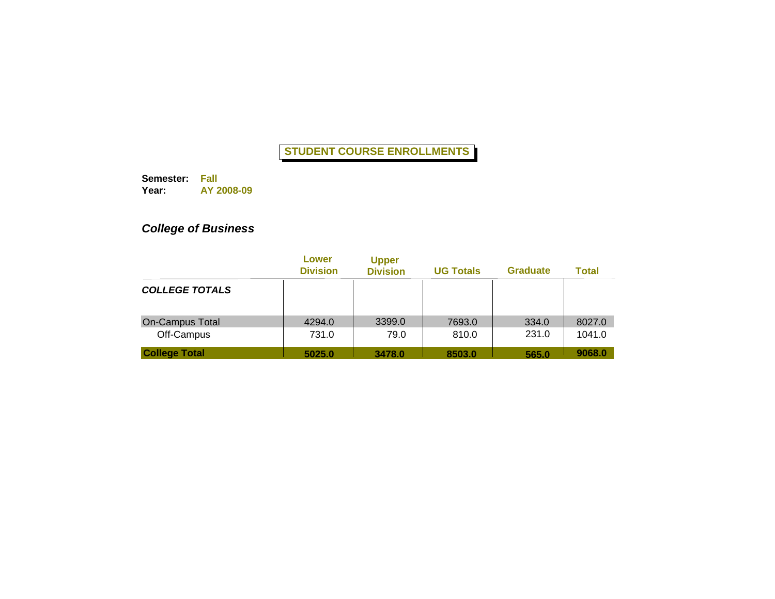**Semester: Fall Year: AY 2008-09**

# *College of Business*

|                       | Lower<br><b>Division</b> | <b>Upper</b><br><b>Division</b> | <b>UG Totals</b> | <b>Graduate</b> | <b>Total</b> |
|-----------------------|--------------------------|---------------------------------|------------------|-----------------|--------------|
| <b>COLLEGE TOTALS</b> |                          |                                 |                  |                 |              |
| On-Campus Total       | 4294.0                   | 3399.0                          | 7693.0           | 334.0           | 8027.0       |
| Off-Campus            | 731.0                    | 79.0                            | 810.0            | 231.0           | 1041.0       |
| <b>College Total</b>  | 5025.0                   | 3478.0                          | 8503.0           | 565.0           | 9068.0       |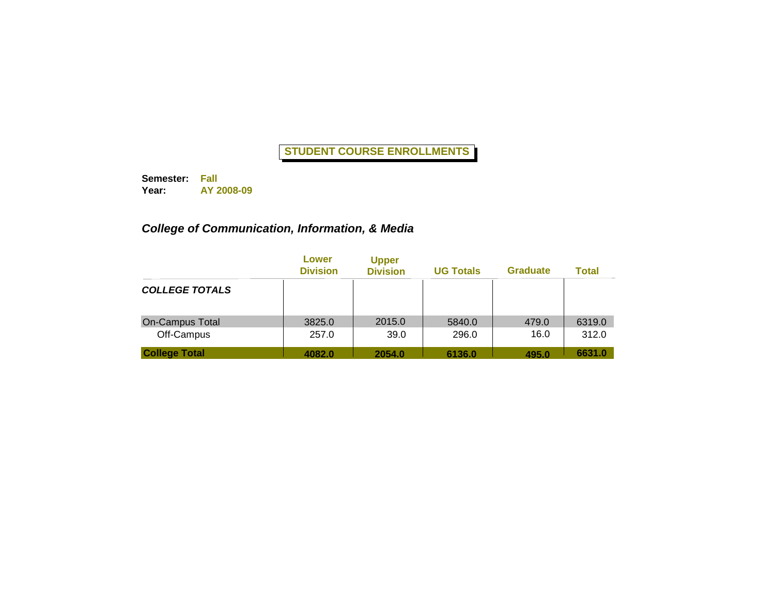**Semester: Fall Year: AY 2008-09**

# *College of Communication, Information, & Media*

|                       | Lower<br><b>Division</b> | <b>Upper</b><br><b>Division</b> | <b>UG Totals</b> | <b>Graduate</b> | <b>Total</b> |
|-----------------------|--------------------------|---------------------------------|------------------|-----------------|--------------|
| <b>COLLEGE TOTALS</b> |                          |                                 |                  |                 |              |
| On-Campus Total       | 3825.0                   | 2015.0                          | 5840.0           | 479.0           | 6319.0       |
| Off-Campus            | 257.0                    | 39.0                            | 296.0            | 16.0            | 312.0        |
| <b>College Total</b>  | 4082.0                   | 2054.0                          | 6136.0           | 495.0           | 6631.0       |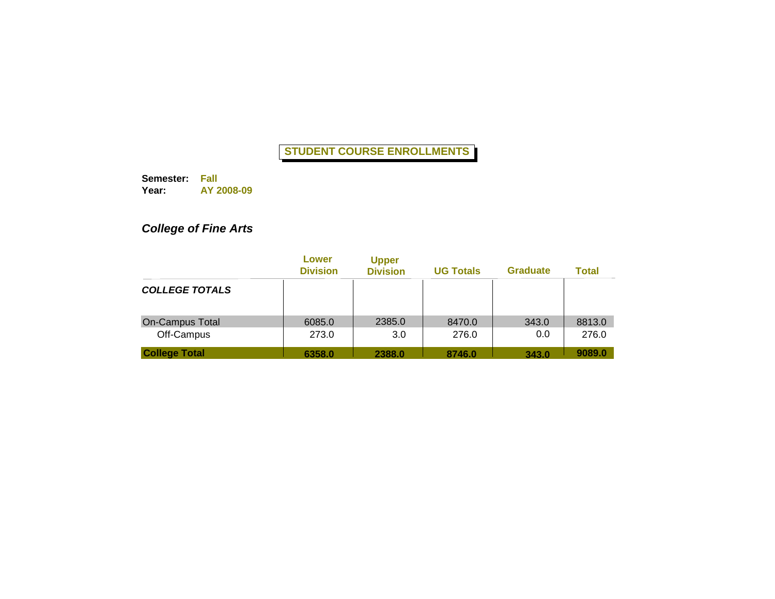**Semester: Fall Year: AY 2008-09**

# *College of Fine Arts*

|                       | Lower<br><b>Division</b> | <b>Upper</b><br><b>Division</b> | <b>UG Totals</b> | <b>Graduate</b> | <b>Total</b> |
|-----------------------|--------------------------|---------------------------------|------------------|-----------------|--------------|
| <b>COLLEGE TOTALS</b> |                          |                                 |                  |                 |              |
| On-Campus Total       | 6085.0                   | 2385.0                          | 8470.0           | 343.0           | 8813.0       |
| Off-Campus            | 273.0                    | 3.0                             | 276.0            | 0.0             | 276.0        |
| <b>College Total</b>  | 6358.0                   | 2388.0                          | 8746.0           | 343.0           | 9089.0       |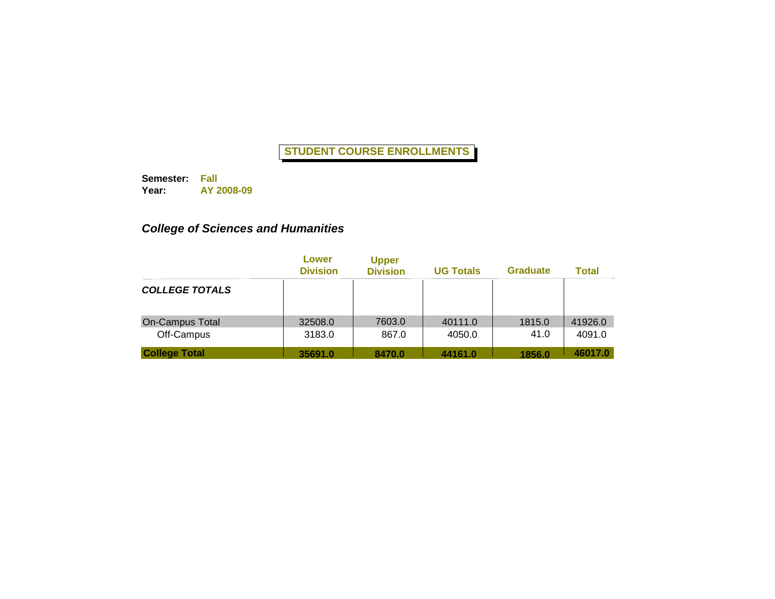**Semester: Fall Year: AY 2008-09**

# *College of Sciences and Humanities*

|                       | Lower<br><b>Division</b> | <b>Upper</b><br><b>Division</b> | <b>UG Totals</b> | <b>Graduate</b> | <b>Total</b> |
|-----------------------|--------------------------|---------------------------------|------------------|-----------------|--------------|
| <b>COLLEGE TOTALS</b> |                          |                                 |                  |                 |              |
| On-Campus Total       | 32508.0                  | 7603.0                          | 40111.0          | 1815.0          | 41926.0      |
| Off-Campus            | 3183.0                   | 867.0                           | 4050.0           | 41.0            | 4091.0       |
| <b>College Total</b>  | 35691.0                  | 8470.0                          | 44161.0          | 1856.0          | 46017.0      |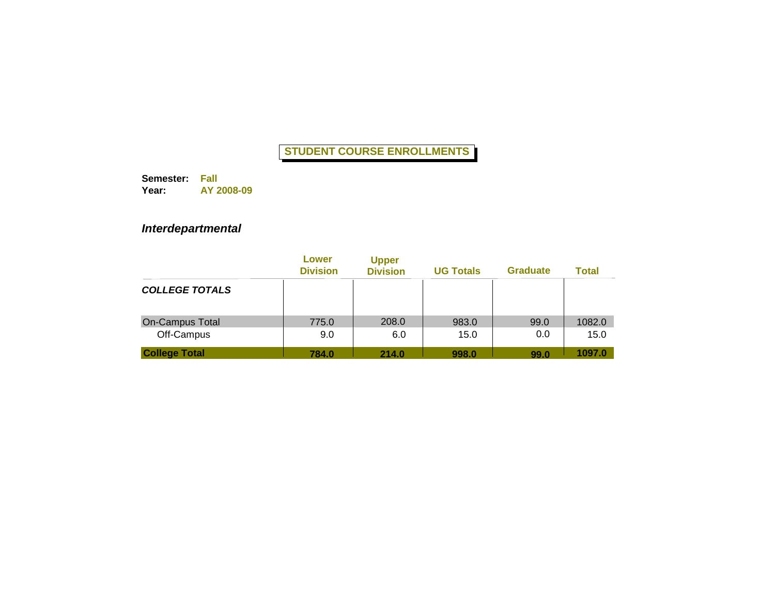**Semester: Fall Year: AY 2008-09**

*Interdepartmental*

|                        | Lower<br><b>Division</b> | <b>Upper</b><br><b>Division</b> | <b>UG Totals</b> | <b>Graduate</b> | <b>Total</b> |
|------------------------|--------------------------|---------------------------------|------------------|-----------------|--------------|
| <b>COLLEGE TOTALS</b>  |                          |                                 |                  |                 |              |
| <b>On-Campus Total</b> | 775.0                    | 208.0                           | 983.0            | 99.0            | 1082.0       |
| Off-Campus             | 9.0                      | 6.0                             | 15.0             | 0.0             | 15.0         |
| <b>College Total</b>   | 784.0                    | 214.0                           | 998.0            | 99.0            | 1097.0       |